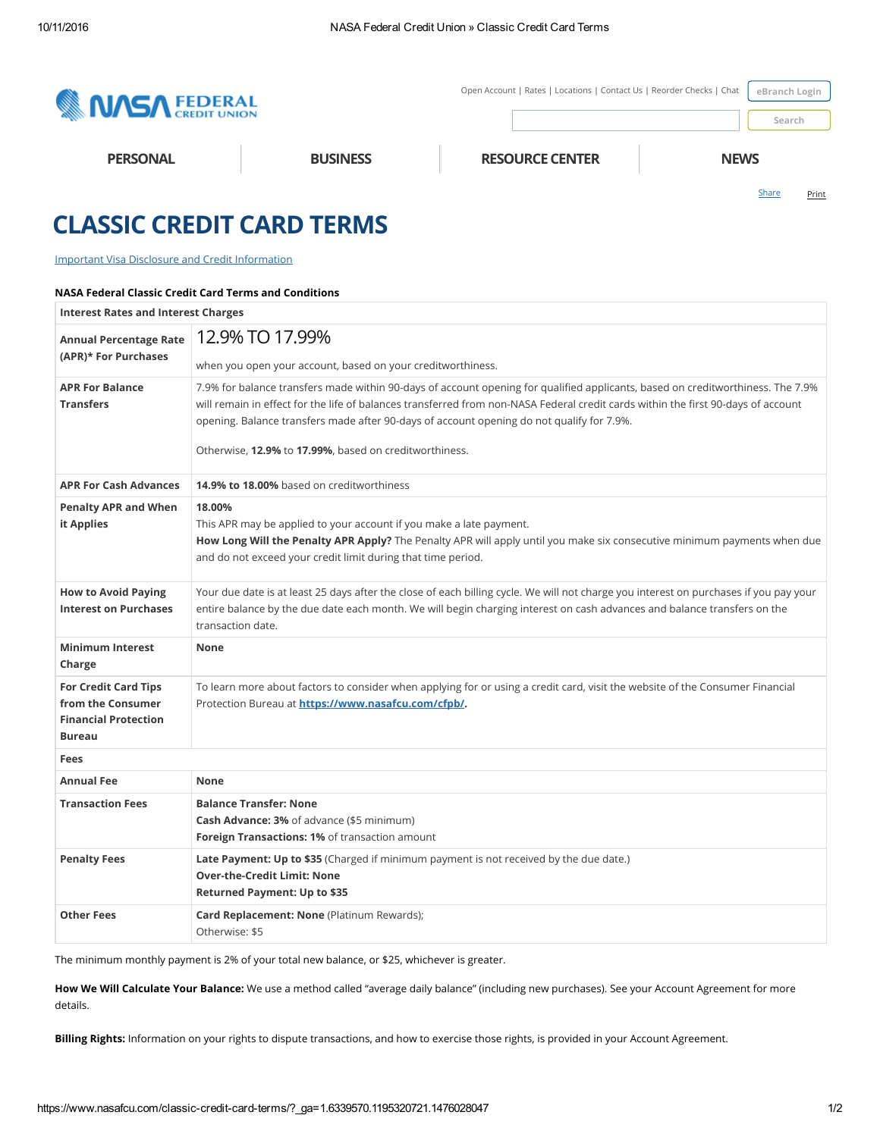

## CLASSIC CREDIT CARD TERMS

## Important Visa Disclosure and Credit [Information](https://www.nasafcu.com/classic-truth-in-lending/)

## NASA Federal Classic Credit Card Terms and Conditions

| <b>Interest Rates and Interest Charges</b>                                                       |                                                                                                                                                                                                                                                                                                                                                                                                                             |
|--------------------------------------------------------------------------------------------------|-----------------------------------------------------------------------------------------------------------------------------------------------------------------------------------------------------------------------------------------------------------------------------------------------------------------------------------------------------------------------------------------------------------------------------|
| <b>Annual Percentage Rate</b><br>(APR)* For Purchases                                            | 12.9% TO 17.99%<br>when you open your account, based on your creditworthiness.                                                                                                                                                                                                                                                                                                                                              |
| <b>APR For Balance</b><br><b>Transfers</b>                                                       | 7.9% for balance transfers made within 90-days of account opening for qualified applicants, based on creditworthiness. The 7.9%<br>will remain in effect for the life of balances transferred from non-NASA Federal credit cards within the first 90-days of account<br>opening. Balance transfers made after 90-days of account opening do not qualify for 7.9%.<br>Otherwise, 12.9% to 17.99%, based on creditworthiness. |
| <b>APR For Cash Advances</b>                                                                     | 14.9% to 18.00% based on creditworthiness                                                                                                                                                                                                                                                                                                                                                                                   |
| <b>Penalty APR and When</b><br>it Applies                                                        | 18.00%<br>This APR may be applied to your account if you make a late payment.<br>How Long Will the Penalty APR Apply? The Penalty APR will apply until you make six consecutive minimum payments when due<br>and do not exceed your credit limit during that time period.                                                                                                                                                   |
| <b>How to Avoid Paying</b><br><b>Interest on Purchases</b>                                       | Your due date is at least 25 days after the close of each billing cycle. We will not charge you interest on purchases if you pay your<br>entire balance by the due date each month. We will begin charging interest on cash advances and balance transfers on the<br>transaction date.                                                                                                                                      |
| <b>Minimum Interest</b><br>Charge                                                                | None                                                                                                                                                                                                                                                                                                                                                                                                                        |
| <b>For Credit Card Tips</b><br>from the Consumer<br><b>Financial Protection</b><br><b>Bureau</b> | To learn more about factors to consider when applying for or using a credit card, visit the website of the Consumer Financial<br>Protection Bureau at https://www.nasafcu.com/cfpb/.                                                                                                                                                                                                                                        |
| Fees                                                                                             |                                                                                                                                                                                                                                                                                                                                                                                                                             |
| <b>Annual Fee</b>                                                                                | None                                                                                                                                                                                                                                                                                                                                                                                                                        |
| <b>Transaction Fees</b>                                                                          | <b>Balance Transfer: None</b><br>Cash Advance: 3% of advance (\$5 minimum)<br>Foreign Transactions: 1% of transaction amount                                                                                                                                                                                                                                                                                                |
| <b>Penalty Fees</b>                                                                              | Late Payment: Up to \$35 (Charged if minimum payment is not received by the due date.)<br><b>Over-the-Credit Limit: None</b><br><b>Returned Payment: Up to \$35</b>                                                                                                                                                                                                                                                         |
| <b>Other Fees</b>                                                                                | Card Replacement: None (Platinum Rewards);<br>Otherwise: \$5                                                                                                                                                                                                                                                                                                                                                                |

The minimum monthly payment is 2% of your total new balance, or \$25, whichever is greater.

How We Will Calculate Your Balance: We use a method called "average daily balance" (including new purchases). See your Account Agreement for more details.

Billing Rights: Information on your rights to dispute transactions, and how to exercise those rights, is provided in your Account Agreement.

[Share](http://www.addthis.com/bookmark.php?v=250&username=xa-4cf3e6ce2c11b3ba) Print